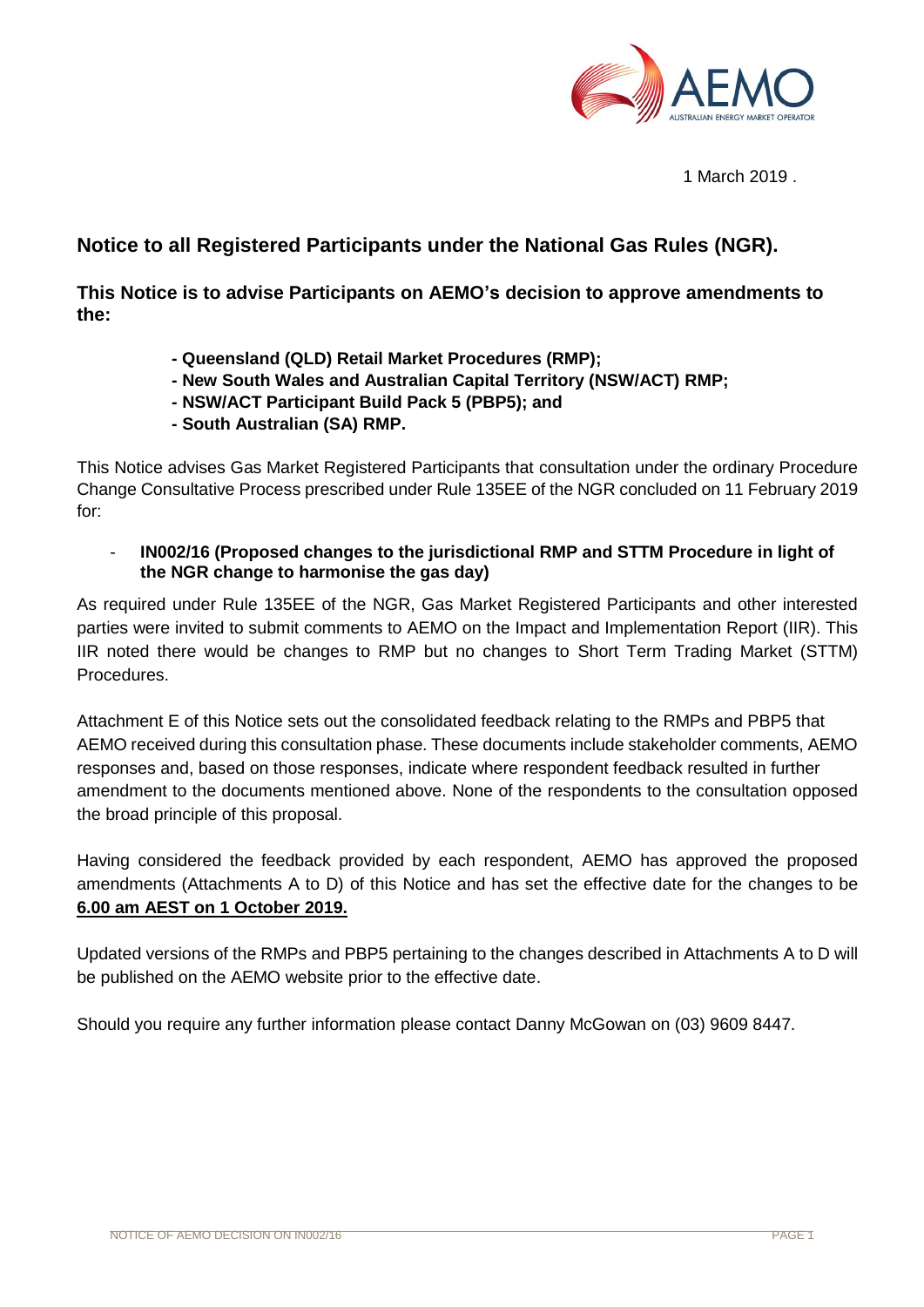

1 March 2019 .

## **Notice to all Registered Participants under the National Gas Rules (NGR).**

**This Notice is to advise Participants on AEMO's decision to approve amendments to the:** 

- **- Queensland (QLD) Retail Market Procedures (RMP);**
- **- New South Wales and Australian Capital Territory (NSW/ACT) RMP;**
- **- NSW/ACT Participant Build Pack 5 (PBP5); and**
- **- South Australian (SA) RMP.**

This Notice advises Gas Market Registered Participants that consultation under the ordinary Procedure Change Consultative Process prescribed under Rule 135EE of the NGR concluded on 11 February 2019 for:

- **IN002/16 (Proposed changes to the jurisdictional RMP and STTM Procedure in light of the NGR change to harmonise the gas day)** 

As required under Rule 135EE of the NGR, Gas Market Registered Participants and other interested parties were invited to submit comments to AEMO on the Impact and Implementation Report (IIR). This IIR noted there would be changes to RMP but no changes to Short Term Trading Market (STTM) Procedures.

Attachment E of this Notice sets out the consolidated feedback relating to the RMPs and PBP5 that AEMO received during this consultation phase. These documents include stakeholder comments, AEMO responses and, based on those responses, indicate where respondent feedback resulted in further amendment to the documents mentioned above. None of the respondents to the consultation opposed the broad principle of this proposal.

Having considered the feedback provided by each respondent, AEMO has approved the proposed amendments (Attachments A to D) of this Notice and has set the effective date for the changes to be **6.00 am AEST on 1 October 2019.**

Updated versions of the RMPs and PBP5 pertaining to the changes described in Attachments A to D will be published on the AEMO website prior to the effective date.

Should you require any further information please contact Danny McGowan on (03) 9609 8447.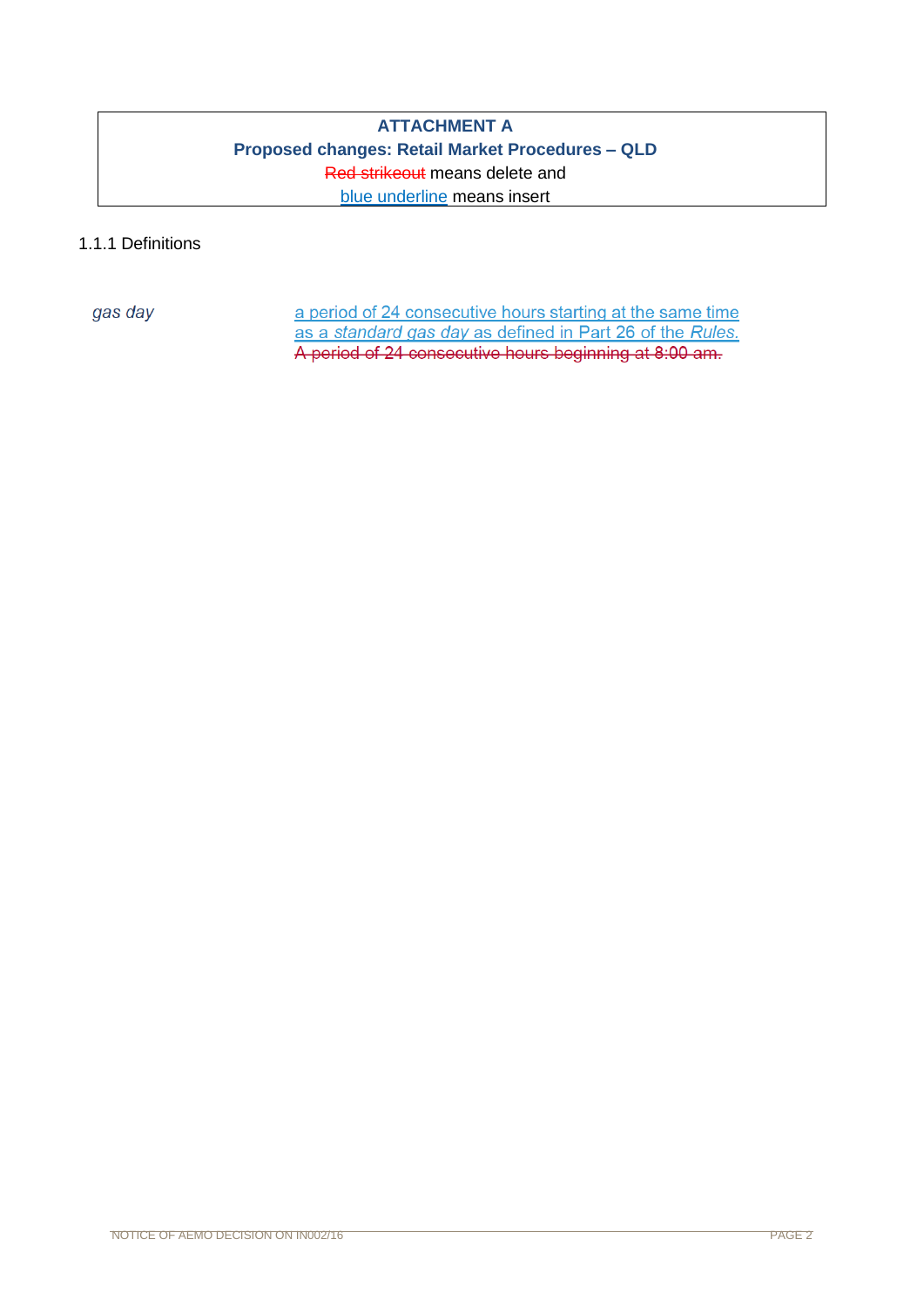## **ATTACHMENT A Proposed changes: Retail Market Procedures – QLD** Red strikeout means delete and blue underline means insert

## 1.1.1 Definitions

gas day

a period of 24 consecutive hours starting at the same time as a standard gas day as defined in Part 26 of the Rules. A period of 24 consecutive hours beginning at 8:00 am.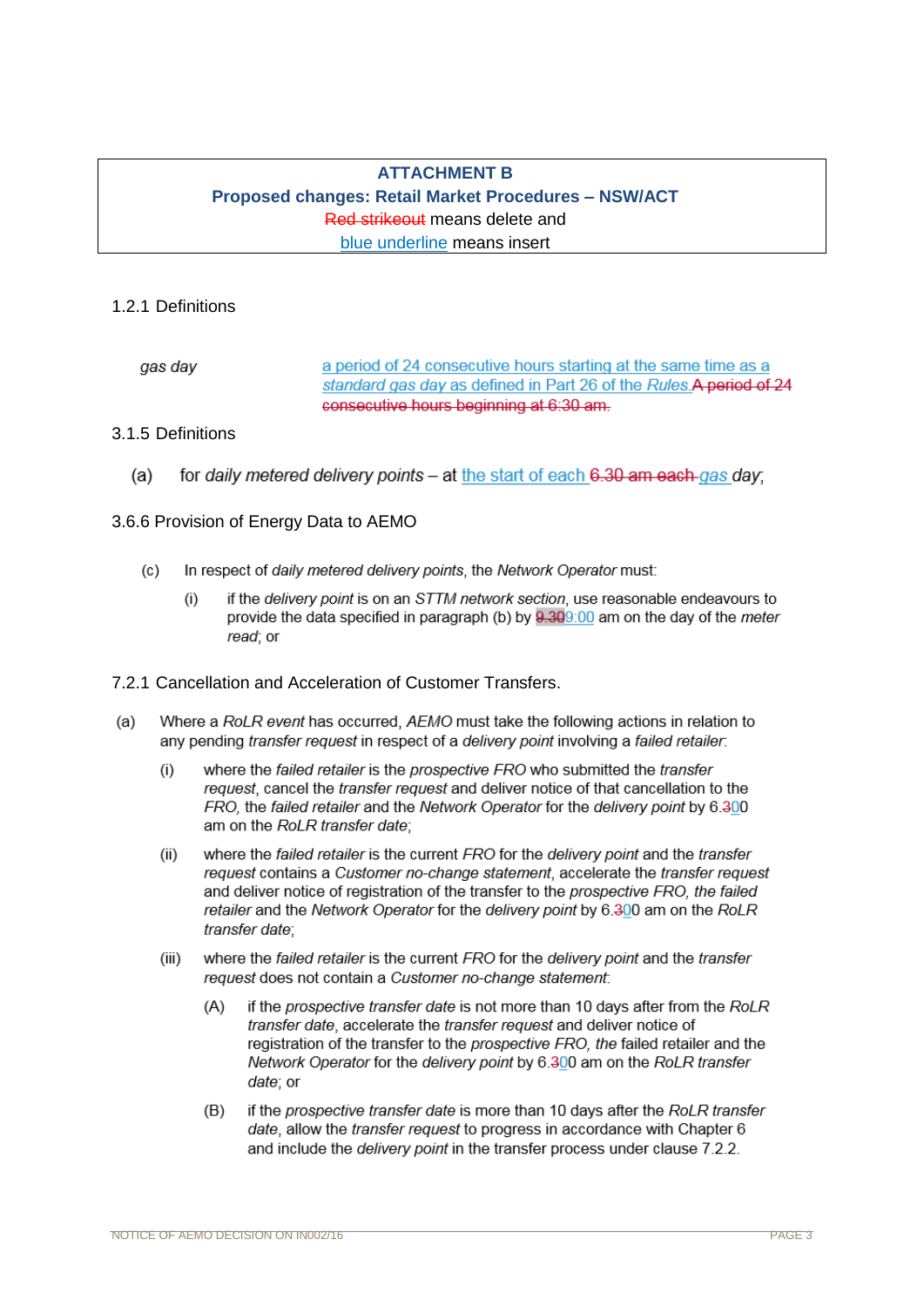## **ATTACHMENT B Proposed changes: Retail Market Procedures – NSW/ACT** Red strikeout means delete and blue underline means insert

### 1.2.1 Definitions

a period of 24 consecutive hours starting at the same time as a gas dav standard gas day as defined in Part 26 of the Rules A period of 24 consecutive hours beginning at 6:30 am.

## 3.1.5 Definitions

 $(a)$ for daily metered delivery points - at the start of each 6.30 am each gas day;

### 3.6.6 Provision of Energy Data to AEMO

- $(c)$ In respect of daily metered delivery points, the Network Operator must:
	- $(i)$ if the delivery point is on an STTM network section, use reasonable endeavours to provide the data specified in paragraph (b) by 9.309:00 am on the day of the meter read; or

### 7.2.1 Cancellation and Acceleration of Customer Transfers.

- $(a)$ Where a RoLR event has occurred, AEMO must take the following actions in relation to any pending transfer request in respect of a delivery point involving a failed retailer.
	- where the failed retailer is the prospective FRO who submitted the transfer  $(i)$ request, cancel the *transfer request* and deliver notice of that cancellation to the FRO, the failed retailer and the Network Operator for the delivery point by 6.300 am on the RoLR transfer date:
	- $(ii)$ where the failed retailer is the current FRO for the delivery point and the transfer request contains a Customer no-change statement, accelerate the transfer request and deliver notice of registration of the transfer to the prospective FRO, the failed retailer and the Network Operator for the delivery point by 6.300 am on the RoLR transfer date:
	- $(iii)$ where the failed retailer is the current FRO for the delivery point and the transfer request does not contain a Customer no-change statement:
		- $(A)$ if the prospective transfer date is not more than 10 days after from the RoLR transfer date, accelerate the transfer request and deliver notice of registration of the transfer to the prospective FRO, the failed retailer and the Network Operator for the delivery point by 6.300 am on the RoLR transfer date: or
		- if the prospective transfer date is more than 10 days after the RoLR transfer  $(B)$ date, allow the transfer request to progress in accordance with Chapter 6 and include the *delivery point* in the transfer process under clause 7.2.2.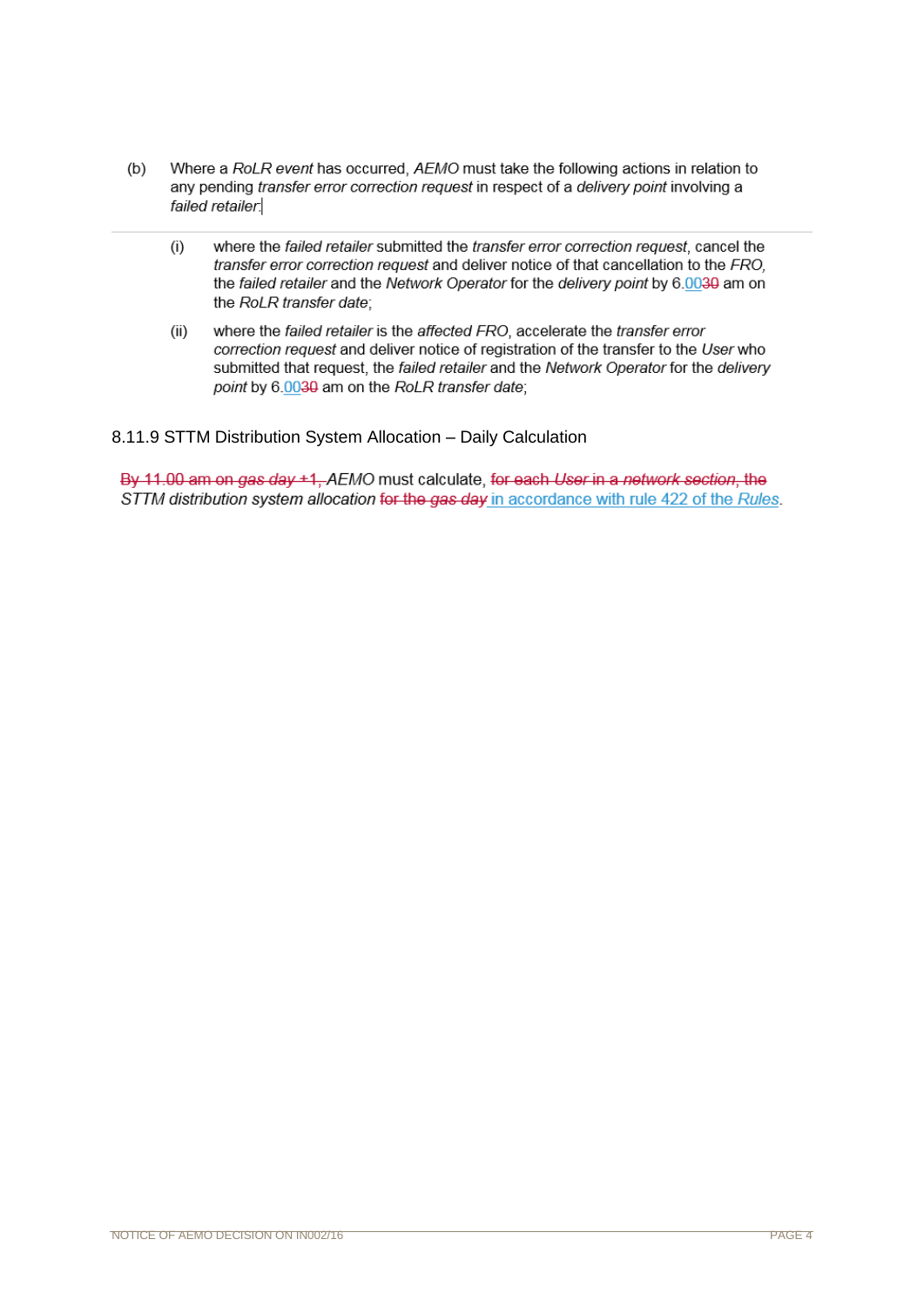- $(b)$ Where a RoLR event has occurred. AEMO must take the following actions in relation to any pending *transfer error correction request* in respect of a *delivery point* involving a failed retailer.
	- $(i)$ where the failed retailer submitted the transfer error correction request, cancel the transfer error correction request and deliver notice of that cancellation to the FRO. the failed retailer and the Network Operator for the delivery point by 6.0030 am on the RoLR transfer date;
	- where the failed retailer is the affected FRO, accelerate the transfer error  $(ii)$ correction request and deliver notice of registration of the transfer to the User who submitted that request, the failed retailer and the Network Operator for the delivery point by 6.0030 am on the RoLR transfer date;

8.11.9 STTM Distribution System Allocation – Daily Calculation

By 11.00 am on gas day +1, AEMO must calculate, for each User in a network section, the STTM distribution system allocation for the gas day in accordance with rule 422 of the Rules.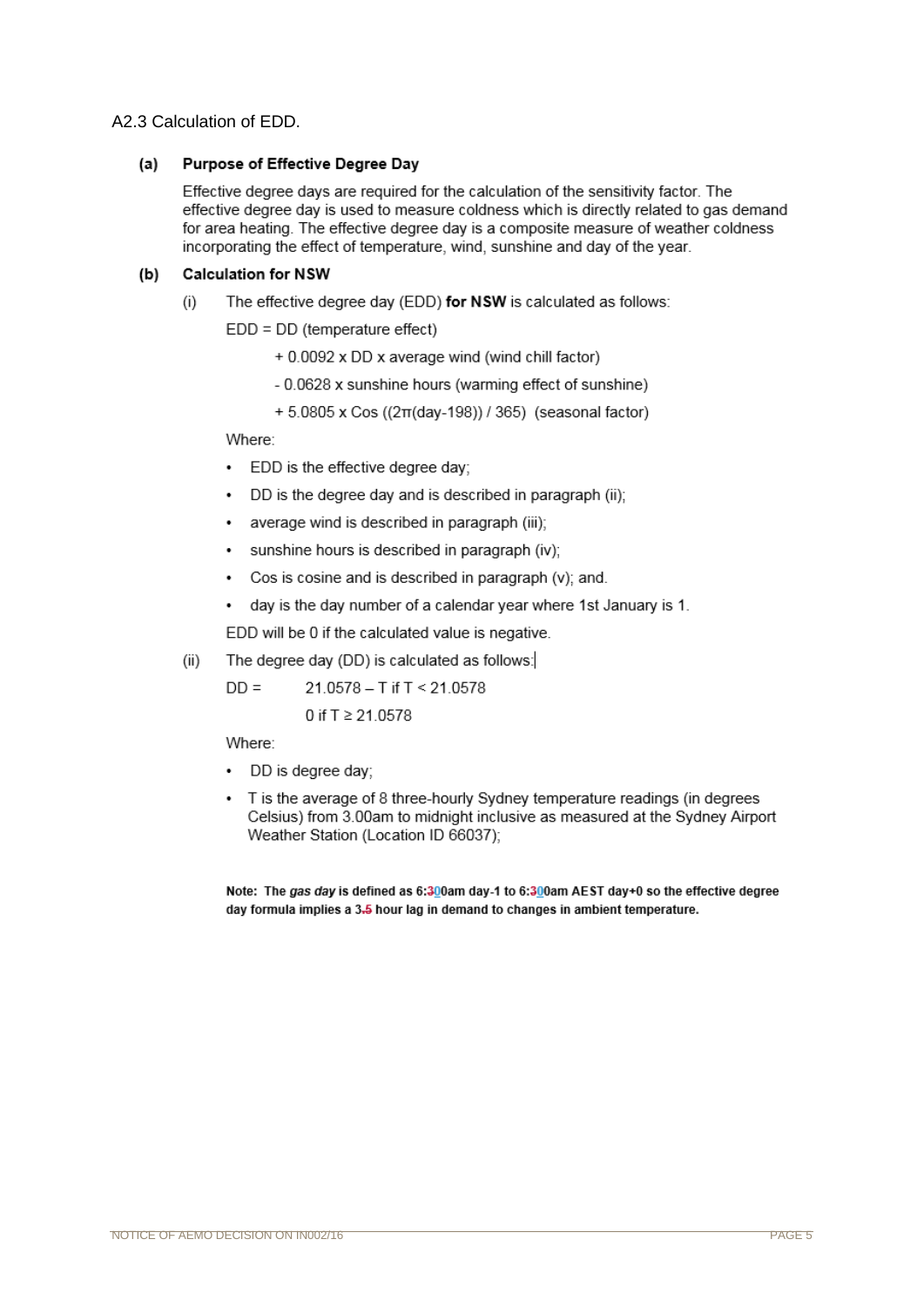#### A2.3 Calculation of EDD.

#### $(a)$ Purpose of Effective Degree Day

Effective degree days are required for the calculation of the sensitivity factor. The effective degree day is used to measure coldness which is directly related to gas demand for area heating. The effective degree day is a composite measure of weather coldness incorporating the effect of temperature, wind, sunshine and day of the year.

#### $(b)$ **Calculation for NSW**

The effective degree day (EDD) for NSW is calculated as follows:  $(i)$ 

 $EDD = DD$  (temperature effect)

- + 0.0092 x DD x average wind (wind chill factor)
- 0.0628 x sunshine hours (warming effect of sunshine)
- + 5.0805 x Cos ((2π(day-198)) / 365) (seasonal factor)

Where:

- EDD is the effective degree day:
- DD is the degree day and is described in paragraph (ii);
- average wind is described in paragraph (iii):
- sunshine hours is described in paragraph (iv);  $\cdot$
- Cos is cosine and is described in paragraph (v); and.
- day is the day number of a calendar year where 1st January is 1.  $\bullet$

EDD will be 0 if the calculated value is negative.

The degree day (DD) is calculated as follows:  $(ii)$ 

> $DD =$ 21.0578 - T if T < 21.0578 0 if  $T \ge 21.0578$

Where:

- · DD is degree day;
- T is the average of 8 three-hourly Sydney temperature readings (in degrees Celsius) from 3.00am to midnight inclusive as measured at the Sydney Airport Weather Station (Location ID 66037);

Note: The gas day is defined as 6:300am day-1 to 6:300am AEST day+0 so the effective degree day formula implies a 3.5 hour lag in demand to changes in ambient temperature.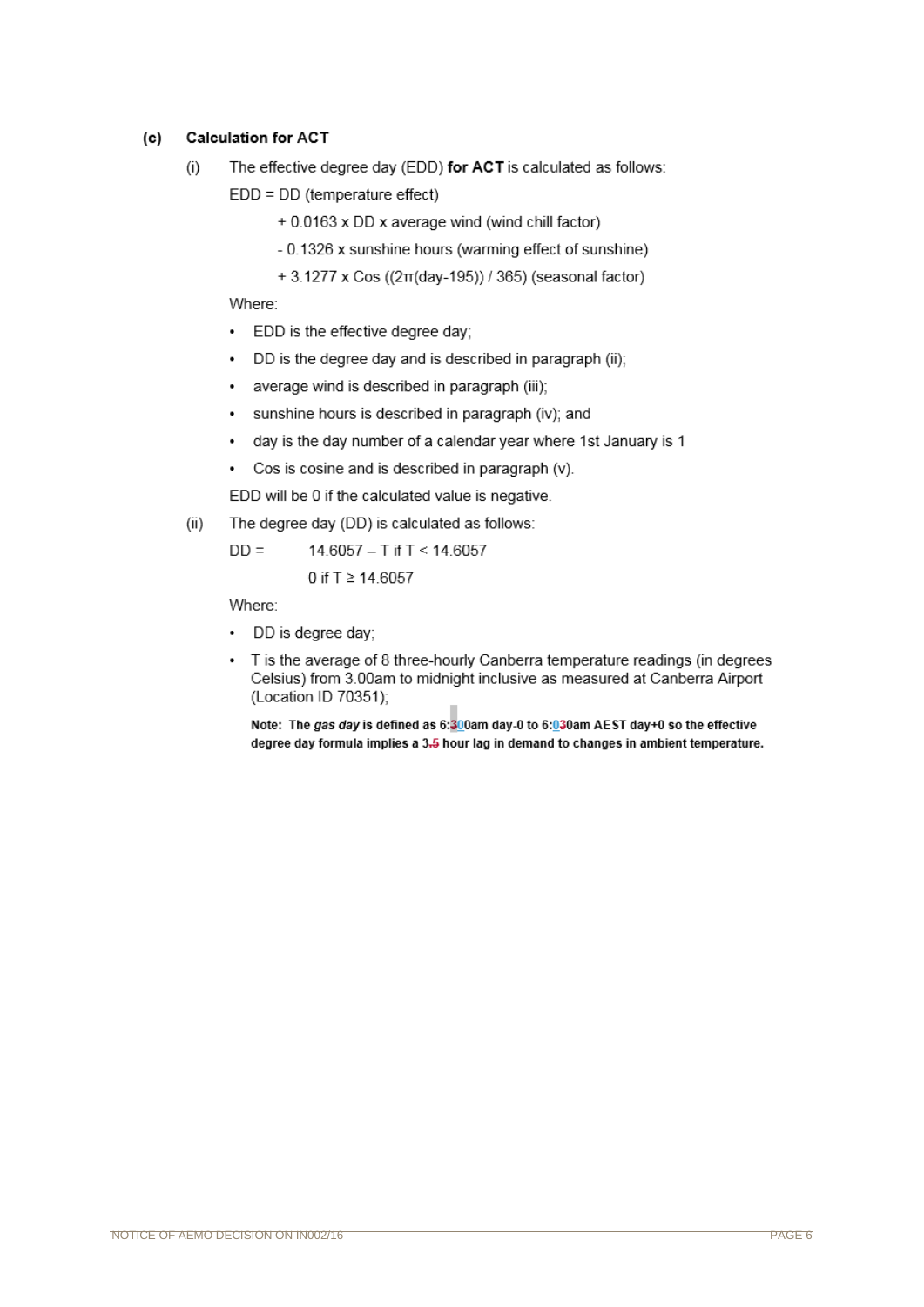#### **Calculation for ACT**  $(c)$

- The effective degree day (EDD) for ACT is calculated as follows:  $(i)$ 
	- $EDD = DD$  (temperature effect)
		- + 0.0163 x DD x average wind (wind chill factor)
		- 0.1326 x sunshine hours (warming effect of sunshine)
		- + 3.1277 x Cos ((2π(day-195)) / 365) (seasonal factor)

Where:

- $\bullet$ EDD is the effective degree day;
- DD is the degree day and is described in paragraph (ii);  $\bullet$
- average wind is described in paragraph (iii);  $\bullet$
- sunshine hours is described in paragraph (iv); and  $\ddot{\phantom{0}}$
- day is the day number of a calendar year where 1st January is 1  $\cdot$
- Cos is cosine and is described in paragraph (v).  $\bullet$

EDD will be 0 if the calculated value is negative.

 $(ii)$ The degree day (DD) is calculated as follows:

> $DD =$ 14.6057 - T if T < 14.6057 0 if  $T \ge 14.6057$

Where:

- DD is degree day;
- T is the average of 8 three-hourly Canberra temperature readings (in degrees Celsius) from 3.00am to midnight inclusive as measured at Canberra Airport (Location ID 70351);

Note: The gas day is defined as 6:300am day-0 to 6:030am AEST day+0 so the effective degree day formula implies a 3.5 hour lag in demand to changes in ambient temperature.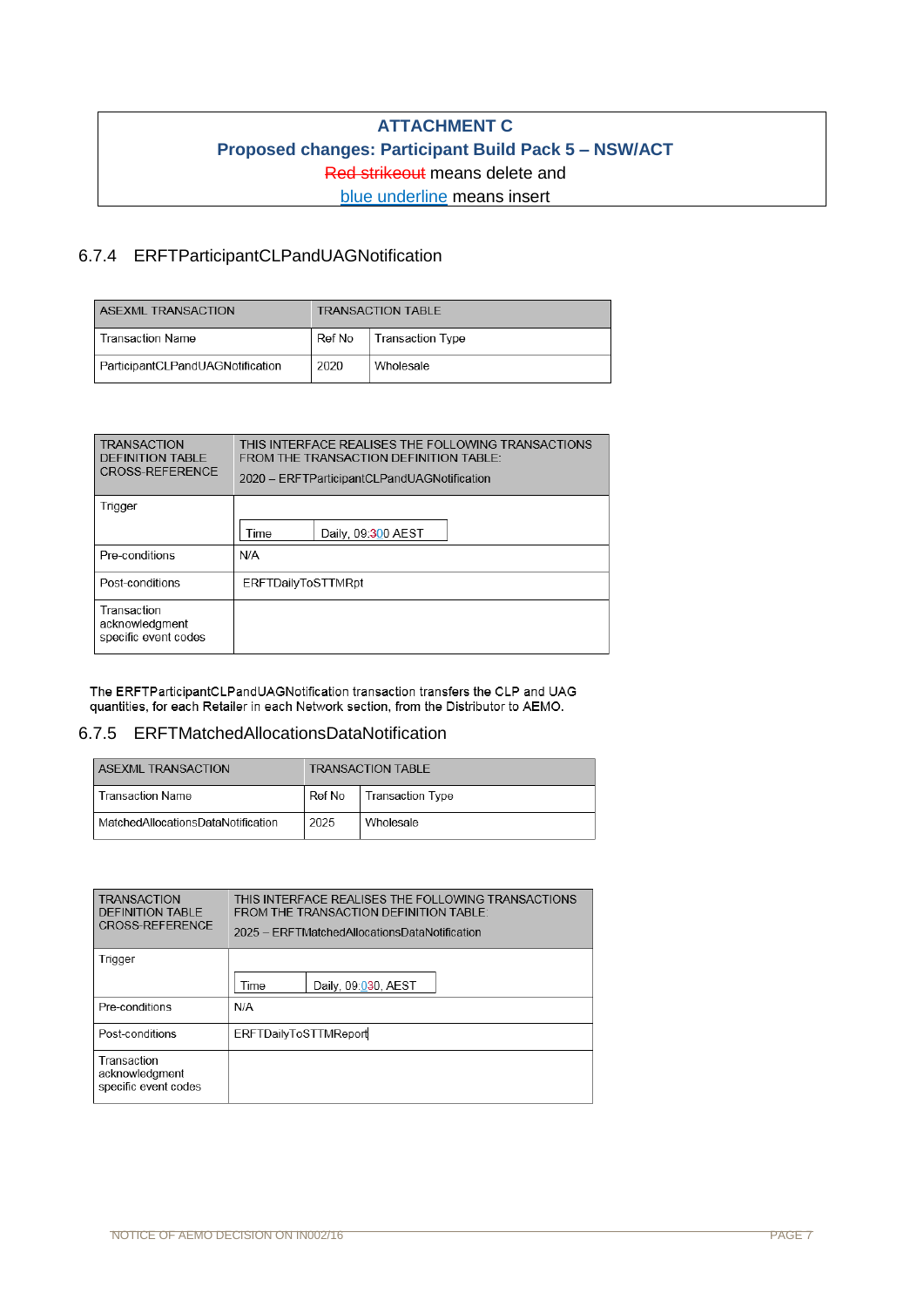## **ATTACHMENT C Proposed changes: Participant Build Pack 5 – NSW/ACT** Red strikeout means delete and blue underline means insert

## 6.7.4 ERFTParticipantCLPandUAGNotification

| <b>ASEXML TRANSACTION</b>        | TRANSACTION TABLE |                  |
|----------------------------------|-------------------|------------------|
| <b>Transaction Name</b>          | ⊢Ref No           | Transaction Type |
| ParticipantCLPandUAGNotification | 2020              | Wholesale        |

| <b>TRANSACTION</b><br>DEFINITION TABLE<br>CROSS-REFERENCE | THIS INTERFACE REALISES THE FOLLOWING TRANSACTIONS<br>FROM THE TRANSACTION DEFINITION TABLE:<br>2020 - ERFTParticipantCLPandUAGNotification |  |  |  |  |
|-----------------------------------------------------------|---------------------------------------------------------------------------------------------------------------------------------------------|--|--|--|--|
| Trigger                                                   |                                                                                                                                             |  |  |  |  |
|                                                           | Daily, 09:300 AEST<br>Time                                                                                                                  |  |  |  |  |
| Pre-conditions                                            | N/A                                                                                                                                         |  |  |  |  |
| Post-conditions                                           | <b>ERFTDailyToSTTMRpt</b>                                                                                                                   |  |  |  |  |
| Transaction<br>acknowledgment<br>specific event codes     |                                                                                                                                             |  |  |  |  |

The ERFTParticipantCLPandUAGNotification transaction transfers the CLP and UAG quantities, for each Retailer in each Network section, from the Distributor to AEMO.

#### 6.7.5 ERFTMatchedAllocationsDataNotification

| <b>ASEXML TRANSACTION</b>          |        | TRANSACTION TABLE |
|------------------------------------|--------|-------------------|
| <b>Transaction Name</b>            | Ref No | Transaction Type  |
| MatchedAllocationsDataNotification | 2025   | Wholesale         |

| <b>TRANSACTION</b><br><b>DEFINITION TABLE</b><br><b>CROSS-REFERENCE</b> | THIS INTERFACE REALISES THE FOLLOWING TRANSACTIONS<br>FROM THE TRANSACTION DEFINITION TABLE:<br>2025 - FRFTMatchedAllocationsDataNotification |  |  |  |  |
|-------------------------------------------------------------------------|-----------------------------------------------------------------------------------------------------------------------------------------------|--|--|--|--|
| Trigger                                                                 |                                                                                                                                               |  |  |  |  |
|                                                                         | Daily, 09:030, AEST<br>Time                                                                                                                   |  |  |  |  |
| Pre-conditions                                                          | N/A                                                                                                                                           |  |  |  |  |
| Post-conditions                                                         | ERFTDailyToSTTMReport                                                                                                                         |  |  |  |  |
| Transaction<br>acknowledgment<br>specific event codes                   |                                                                                                                                               |  |  |  |  |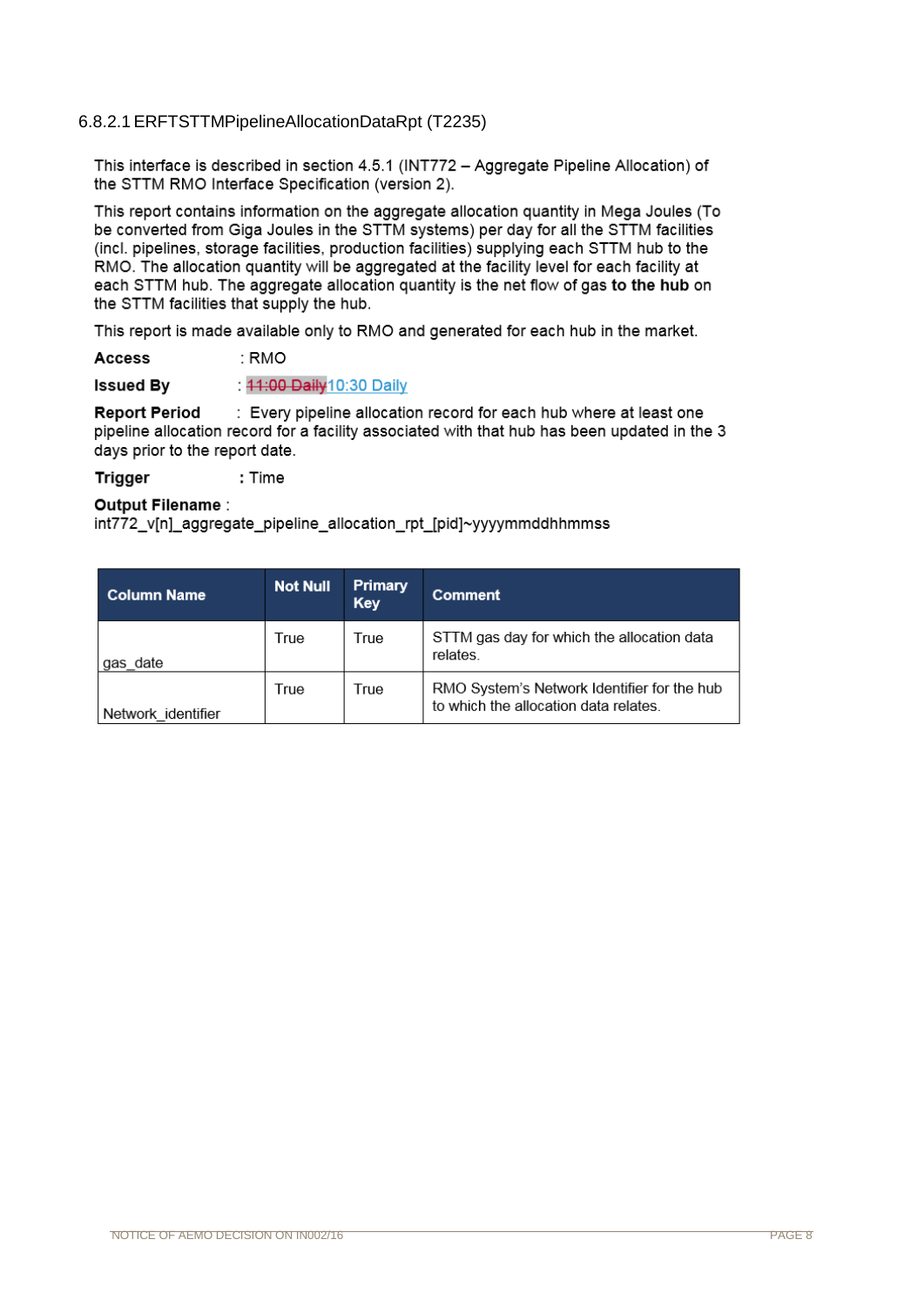### 6.8.2.1ERFTSTTMPipelineAllocationDataRpt (T2235)

This interface is described in section 4.5.1 (INT772 - Agaregate Pipeline Allocation) of the STTM RMO Interface Specification (version 2).

This report contains information on the aggregate allocation quantity in Mega Joules (To be converted from Giga Joules in the STTM systems) per day for all the STTM facilities (incl. pipelines, storage facilities, production facilities) supplying each STTM hub to the RMO. The allocation quantity will be aggregated at the facility level for each facility at each STTM hub. The aggregate allocation quantity is the net flow of gas to the hub on the STTM facilities that supply the hub.

This report is made available only to RMO and generated for each hub in the market.

Access : RMO

**Issued By** : 44:00 Daily 10:30 Daily

**Report Period** : Every pipeline allocation record for each hub where at least one pipeline allocation record for a facility associated with that hub has been updated in the 3 days prior to the report date.

**Trigger** : Time

#### Output Filename:

int772 v[n] aggregate pipeline allocation rpt [pid]~yyyymmddhhmmss

| Column Name        | <b>Not Null</b> | Primary<br><b>Key</b> | Comment                                                                              |
|--------------------|-----------------|-----------------------|--------------------------------------------------------------------------------------|
| gas date           | True            | True                  | STTM gas day for which the allocation data<br>relates.                               |
| Network identifier | True            | True                  | RMO System's Network Identifier for the hub<br>to which the allocation data relates. |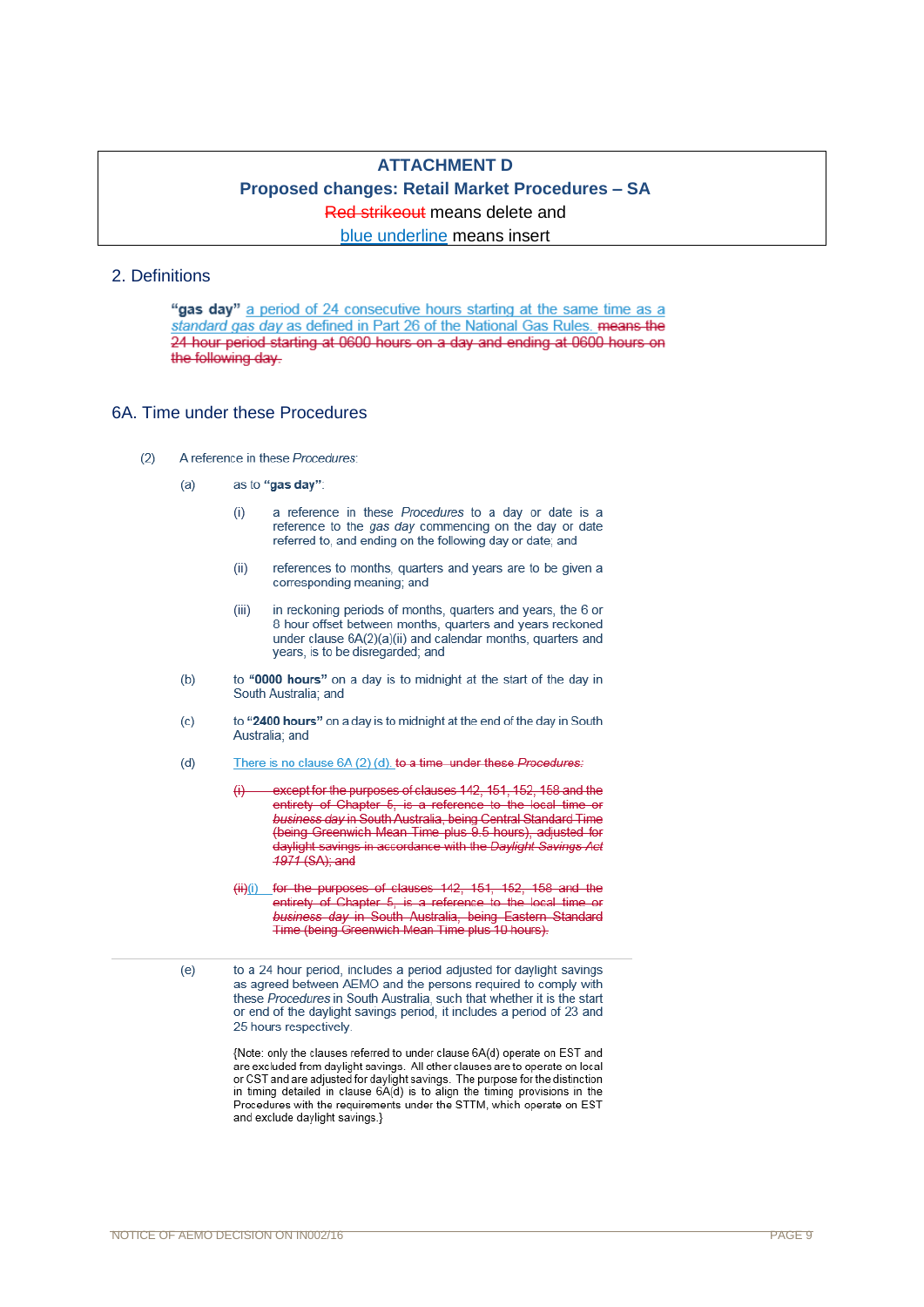## **ATTACHMENT D Proposed changes: Retail Market Procedures – SA** Red strikeout means delete and blue underline means insert

#### 2. Definitions

"gas day" a period of 24 consecutive hours starting at the same time as a standard gas day as defined in Part 26 of the National Gas Rules. means the 24 hour period starting at 0600 hours on a day and ending at 0600 hours on the following day.

#### 6A. Time under these Procedures

- A reference in these Procedures:  $(2)$ 
	- $(a)$ as to "gas day":
		- a reference in these Procedures to a day or date is a  $(i)$ reference to the gas day commencing on the day or date referred to, and ending on the following day or date; and
		- references to months, quarters and years are to be given a  $(ii)$ corresponding meaning; and
		- $(iii)$ in reckoning periods of months, quarters and years, the 6 or 8 hour offset between months, quarters and years reckoned under clause  $6A(2)(a)(ii)$  and calendar months, quarters and years, is to be disregarded; and
	- $(b)$ to "0000 hours" on a day is to midnight at the start of the day in South Australia: and
	- to "2400 hours" on a day is to midnight at the end of the day in South  $(c)$ Australia; and
	- There is no clause 6A (2) (d), to a time under these Procedures:  $(d)$ 
		- 44 except for the purposes of clauses 142, 151, 152, 158 and the entirety of Chapter 5, is a reference to the local time or business day in South Australia, being Central Standard Time (being Greenwich Mean Time plus 9.5 hours), adjusted for daylight savings in accordance with the Daylight Savings Act 1971 (SA); and
		- (ii) [i) for the purposes of clauses 142, 151, 152, 158 and the entirety of Chapter 5, is a reference to the local time or business day in South Australia, being Eastern Standard Time (being Greenwich Mean Time plus 10 hours).

to a 24 hour period, includes a period adjusted for daylight savings as agreed between AEMO and the persons required to comply with these Procedures in South Australia, such that whether it is the start or end of the daylight savings period, it includes a period of 23 and 25 hours respectively.

{Note: only the clauses referred to under clause 6A(d) operate on EST and are excluded from daylight savings. All other clauses are to operate on local or CST and are adjusted for daylight savings. The purpose for the distinction in timing detailed in clause 6A(d) is to align the timing provisions in the Procedures with the requirements under the STTM, which operate on EST and exclude daylight savings.}

 $(e)$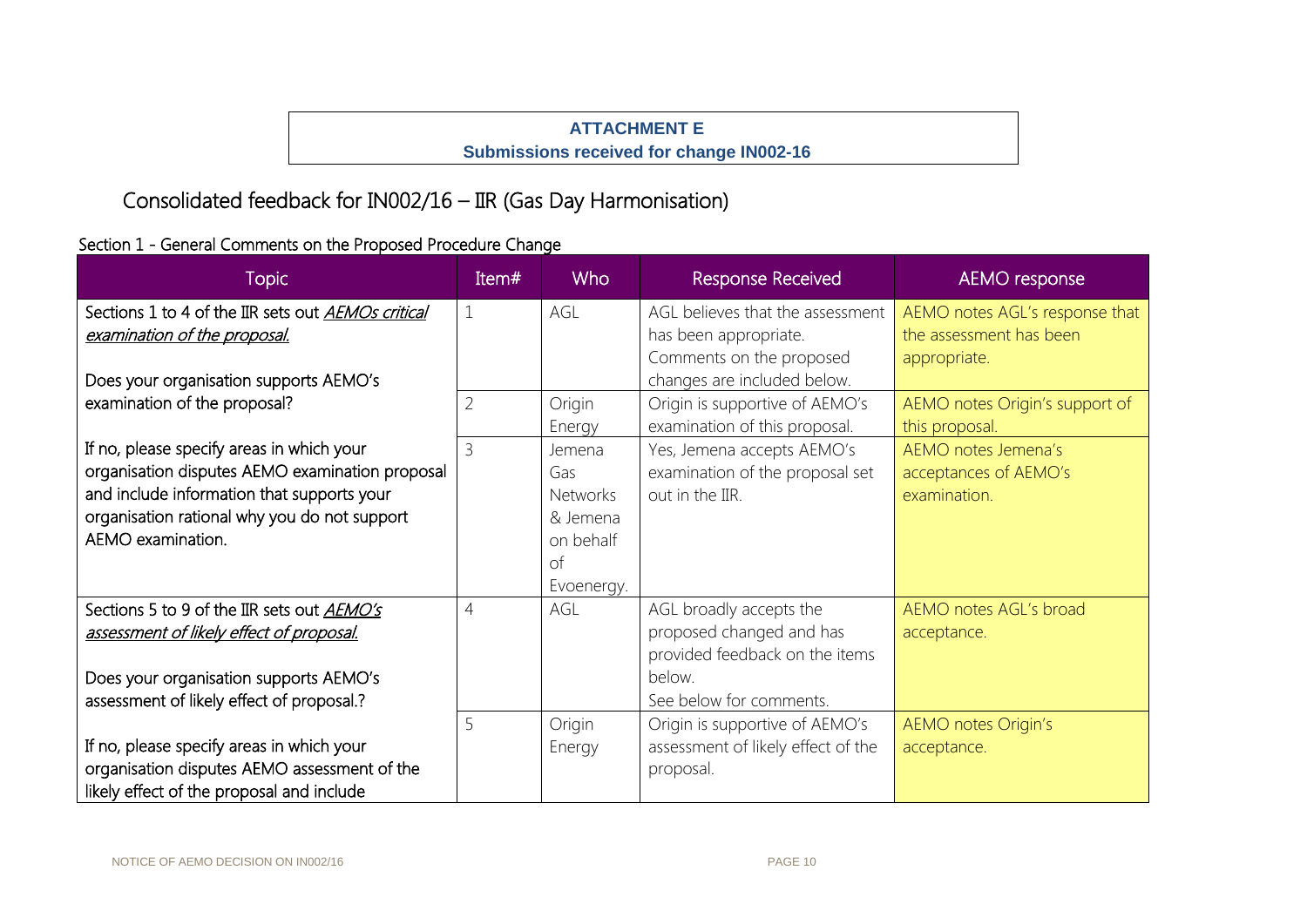## **ATTACHMENT E Submissions received for change IN002-16**

# Consolidated feedback for IN002/16 – IIR (Gas Day Harmonisation)

## Section 1 - General Comments on the Proposed Procedure Change

| <b>Topic</b>                                                                                                                                                                                                    | Item#          | <b>Who</b>                                                                    | <b>Response Received</b>                                                                                                   | AEMO response                                                             |
|-----------------------------------------------------------------------------------------------------------------------------------------------------------------------------------------------------------------|----------------|-------------------------------------------------------------------------------|----------------------------------------------------------------------------------------------------------------------------|---------------------------------------------------------------------------|
| Sections 1 to 4 of the IIR sets out AEMOs critical<br>examination of the proposal.<br>Does your organisation supports AEMO's                                                                                    | $\mathbf{1}$   | AGL                                                                           | AGL believes that the assessment<br>has been appropriate.<br>Comments on the proposed<br>changes are included below.       | AEMO notes AGL's response that<br>the assessment has been<br>appropriate. |
| examination of the proposal?                                                                                                                                                                                    | $\overline{2}$ | Origin<br>Energy                                                              | Origin is supportive of AEMO's<br>examination of this proposal.                                                            | AEMO notes Origin's support of<br>this proposal.                          |
| If no, please specify areas in which your<br>organisation disputes AEMO examination proposal<br>and include information that supports your<br>organisation rational why you do not support<br>AEMO examination. | 3              | Jemena<br>Gas<br><b>Networks</b><br>& Jemena<br>on behalf<br>of<br>Evoenergy. | Yes, Jemena accepts AEMO's<br>examination of the proposal set<br>out in the IIR.                                           | AEMO notes Jemena's<br>acceptances of AEMO's<br>examination.              |
| Sections 5 to 9 of the IIR sets out AEMO's<br>assessment of likely effect of proposal.<br>Does your organisation supports AEMO's<br>assessment of likely effect of proposal.?                                   | $\overline{4}$ | AGL                                                                           | AGL broadly accepts the<br>proposed changed and has<br>provided feedback on the items<br>below.<br>See below for comments. | AEMO notes AGL's broad<br>acceptance.                                     |
| If no, please specify areas in which your<br>organisation disputes AEMO assessment of the<br>likely effect of the proposal and include                                                                          | 5              | Origin<br>Energy                                                              | Origin is supportive of AEMO's<br>assessment of likely effect of the<br>proposal.                                          | <b>AEMO</b> notes Origin's<br>acceptance.                                 |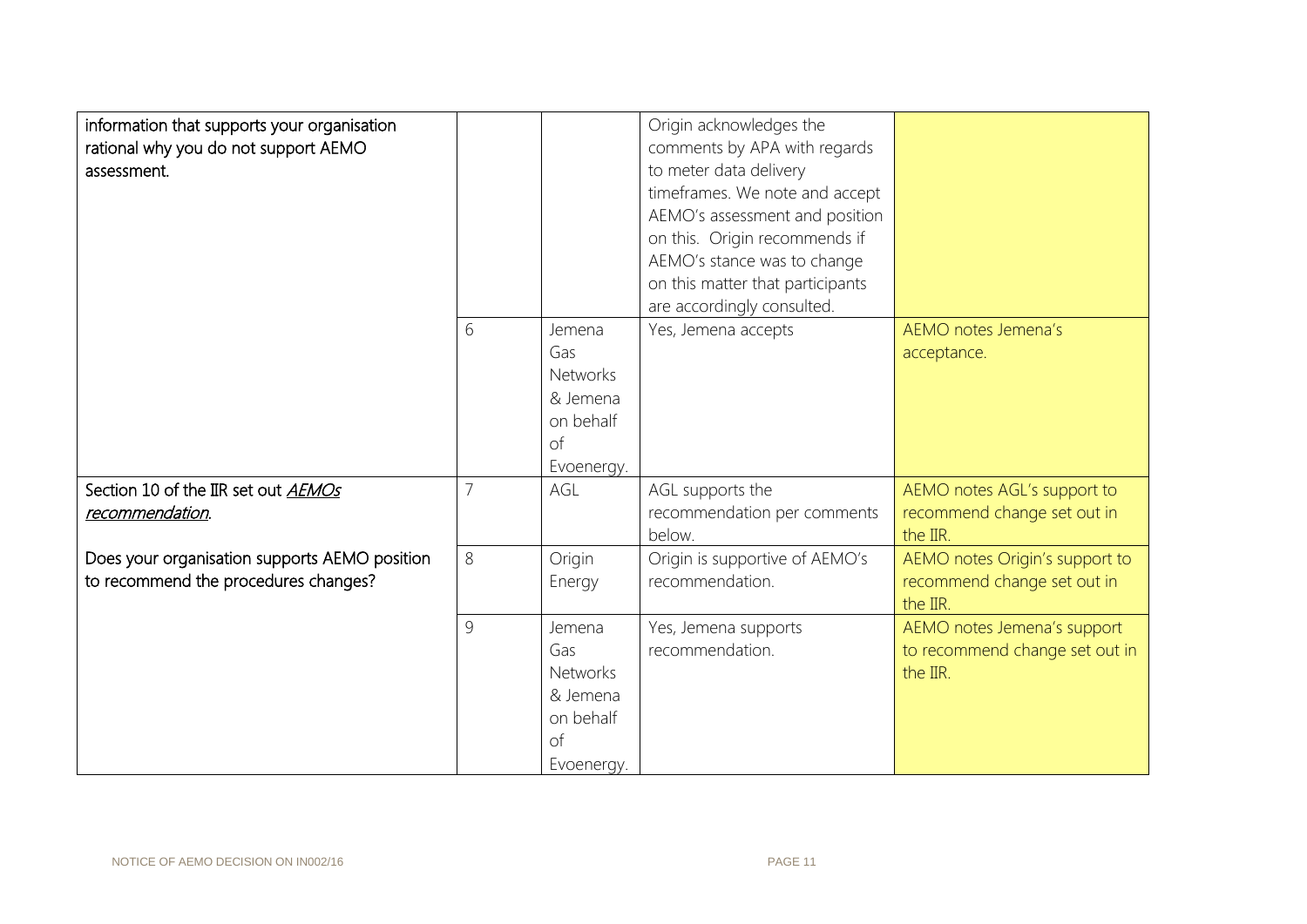| information that supports your organisation<br>rational why you do not support AEMO<br>assessment. |   |                                                                               | Origin acknowledges the<br>comments by APA with regards<br>to meter data delivery<br>timeframes. We note and accept<br>AEMO's assessment and position<br>on this. Origin recommends if<br>AEMO's stance was to change<br>on this matter that participants<br>are accordingly consulted. |                                                                           |
|----------------------------------------------------------------------------------------------------|---|-------------------------------------------------------------------------------|-----------------------------------------------------------------------------------------------------------------------------------------------------------------------------------------------------------------------------------------------------------------------------------------|---------------------------------------------------------------------------|
|                                                                                                    | 6 | Jemena<br>Gas<br><b>Networks</b><br>& Jemena<br>on behalf<br>of<br>Evoenergy. | Yes, Jemena accepts                                                                                                                                                                                                                                                                     | AEMO notes Jemena's<br>acceptance.                                        |
| Section 10 of the IIR set out AEMOs<br>recommendation.                                             |   | AGL                                                                           | AGL supports the<br>recommendation per comments<br>below.                                                                                                                                                                                                                               | AEMO notes AGL's support to<br>recommend change set out in<br>the IIR.    |
| Does your organisation supports AEMO position<br>to recommend the procedures changes?              | 8 | Origin<br>Energy                                                              | Origin is supportive of AEMO's<br>recommendation.                                                                                                                                                                                                                                       | AEMO notes Origin's support to<br>recommend change set out in<br>the IIR. |
|                                                                                                    | 9 | Jemena<br>Gas<br><b>Networks</b><br>& Jemena<br>on behalf<br>of<br>Evoenergy. | Yes, Jemena supports<br>recommendation.                                                                                                                                                                                                                                                 | AEMO notes Jemena's support<br>to recommend change set out in<br>the IIR. |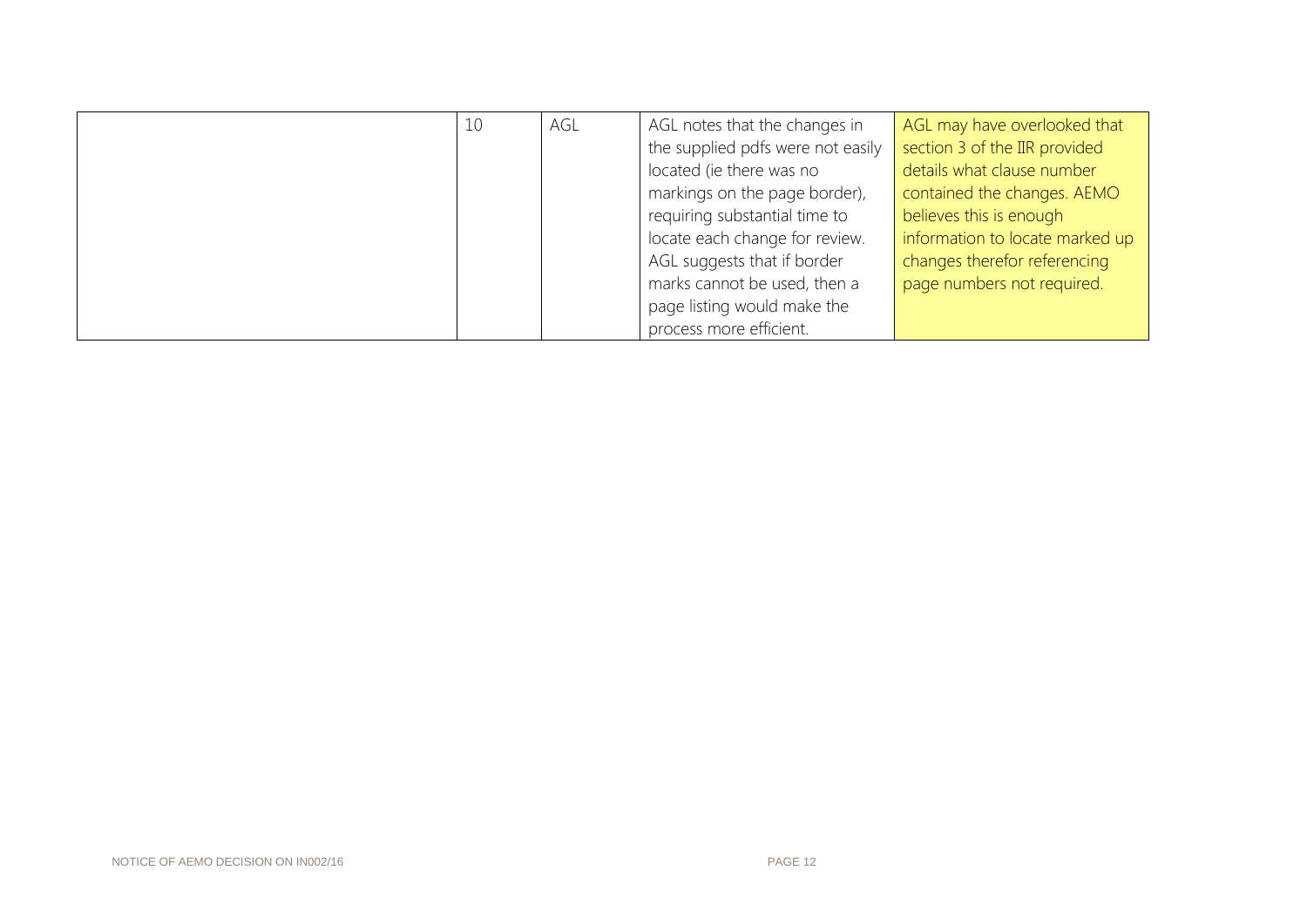| 10 | AGL | AGL notes that the changes in     | AGL may have overlooked that    |
|----|-----|-----------------------------------|---------------------------------|
|    |     | the supplied pdfs were not easily | section 3 of the IIR provided   |
|    |     | located (ie there was no          | details what clause number      |
|    |     | markings on the page border),     | contained the changes. AEMO     |
|    |     | requiring substantial time to     | believes this is enough         |
|    |     | locate each change for review.    | information to locate marked up |
|    |     | AGL suggests that if border       | changes therefor referencing    |
|    |     | marks cannot be used, then a      | page numbers not required.      |
|    |     | page listing would make the       |                                 |
|    |     | process more efficient.           |                                 |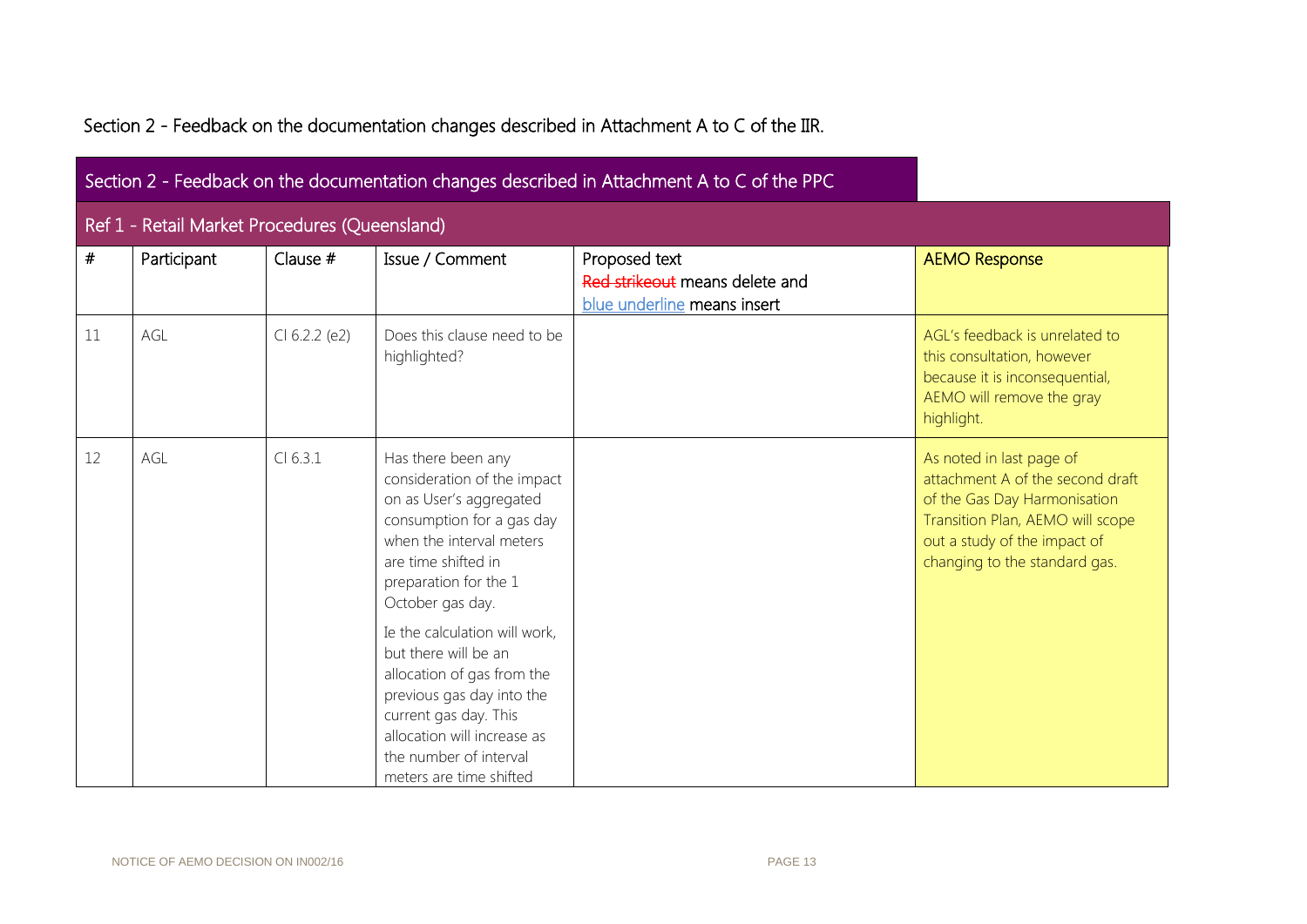|  | Section 2 - Feedback on the documentation changes described in Attachment A to C of the IIR. |  |
|--|----------------------------------------------------------------------------------------------|--|
|  |                                                                                              |  |

|    |                                               |               |                                                                                                                                                                                                                                                                                                                                                                                                                                            | Section 2 - Feedback on the documentation changes described in Attachment A to C of the PPC |                                                                                                                                                                                                   |
|----|-----------------------------------------------|---------------|--------------------------------------------------------------------------------------------------------------------------------------------------------------------------------------------------------------------------------------------------------------------------------------------------------------------------------------------------------------------------------------------------------------------------------------------|---------------------------------------------------------------------------------------------|---------------------------------------------------------------------------------------------------------------------------------------------------------------------------------------------------|
|    | Ref 1 - Retail Market Procedures (Queensland) |               |                                                                                                                                                                                                                                                                                                                                                                                                                                            |                                                                                             |                                                                                                                                                                                                   |
| #  | Participant                                   | Clause #      | Issue / Comment                                                                                                                                                                                                                                                                                                                                                                                                                            | Proposed text<br>Red strikeout means delete and<br>blue underline means insert              | <b>AEMO Response</b>                                                                                                                                                                              |
| 11 | AGL                                           | Cl 6.2.2 (e2) | Does this clause need to be<br>highlighted?                                                                                                                                                                                                                                                                                                                                                                                                |                                                                                             | AGL's feedback is unrelated to<br>this consultation, however<br>because it is inconsequential,<br>AEMO will remove the gray<br>highlight.                                                         |
| 12 | AGL                                           | Cl 6.3.1      | Has there been any<br>consideration of the impact<br>on as User's aggregated<br>consumption for a gas day<br>when the interval meters<br>are time shifted in<br>preparation for the 1<br>October gas day.<br>Ie the calculation will work,<br>but there will be an<br>allocation of gas from the<br>previous gas day into the<br>current gas day. This<br>allocation will increase as<br>the number of interval<br>meters are time shifted |                                                                                             | As noted in last page of<br>attachment A of the second draft<br>of the Gas Day Harmonisation<br>Transition Plan, AEMO will scope<br>out a study of the impact of<br>changing to the standard gas. |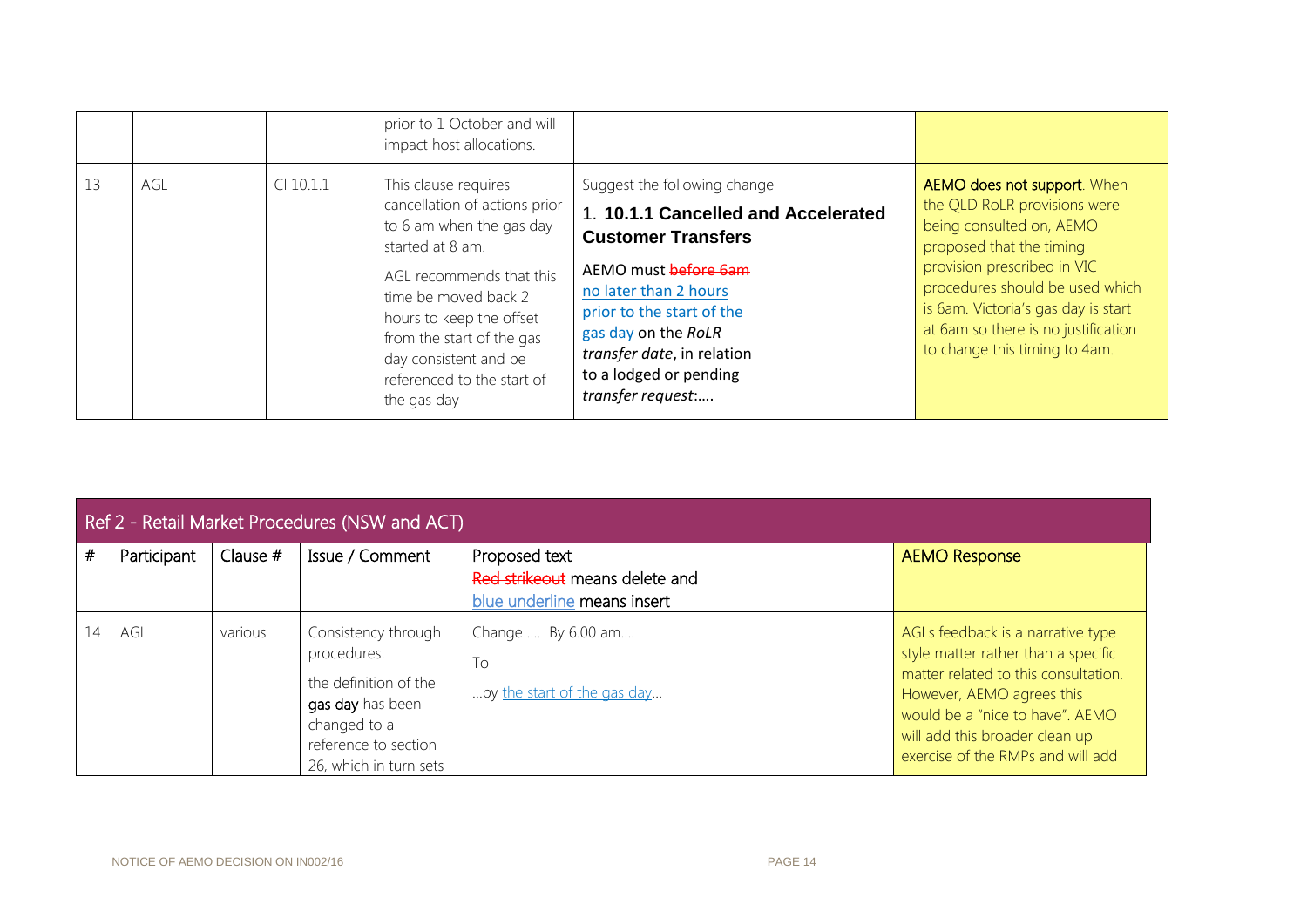|    |     |             | prior to 1 October and will<br>impact host allocations.                                                                                                                                                                                                                                  |                                                                                                                                                                                                                                                                                    |                                                                                                                                                                                                                                                                                                      |
|----|-----|-------------|------------------------------------------------------------------------------------------------------------------------------------------------------------------------------------------------------------------------------------------------------------------------------------------|------------------------------------------------------------------------------------------------------------------------------------------------------------------------------------------------------------------------------------------------------------------------------------|------------------------------------------------------------------------------------------------------------------------------------------------------------------------------------------------------------------------------------------------------------------------------------------------------|
| 13 | AGL | $Cl$ 10.1.1 | This clause requires<br>cancellation of actions prior<br>to 6 am when the gas day<br>started at 8 am.<br>AGL recommends that this<br>time be moved back 2<br>hours to keep the offset<br>from the start of the gas<br>day consistent and be<br>referenced to the start of<br>the gas day | Suggest the following change<br>1. 10.1.1 Cancelled and Accelerated<br><b>Customer Transfers</b><br>AEMO must before 6am<br>no later than 2 hours<br>prior to the start of the<br>gas day on the RoLR<br>transfer date, in relation<br>to a lodged or pending<br>transfer request: | AEMO does not support. When<br>the QLD RoLR provisions were<br>being consulted on, AEMO<br>proposed that the timing<br>provision prescribed in VIC<br>procedures should be used which<br>is 6am. Victoria's gas day is start<br>at 6am so there is no justification<br>to change this timing to 4am. |

|      | Ref 2 - Retail Market Procedures (NSW and ACT) |            |                                                                                                                                                   |                                                                                |                                                                                                                                                                                                                                                         |  |  |  |  |
|------|------------------------------------------------|------------|---------------------------------------------------------------------------------------------------------------------------------------------------|--------------------------------------------------------------------------------|---------------------------------------------------------------------------------------------------------------------------------------------------------------------------------------------------------------------------------------------------------|--|--|--|--|
| $\#$ | Participant                                    | Clause $#$ | Issue / Comment                                                                                                                                   | Proposed text<br>Red strikeout means delete and<br>blue underline means insert | <b>AEMO Response</b>                                                                                                                                                                                                                                    |  |  |  |  |
| 14   | AGL                                            | various    | Consistency through<br>procedures.<br>the definition of the<br>gas day has been<br>changed to a<br>reference to section<br>26, which in turn sets | Change  By 6.00 am<br>To<br>by the start of the gas day                        | AGLs feedback is a narrative type<br>style matter rather than a specific<br>matter related to this consultation.<br>However, AEMO agrees this<br>would be a "nice to have". AEMO<br>will add this broader clean up<br>exercise of the RMPs and will add |  |  |  |  |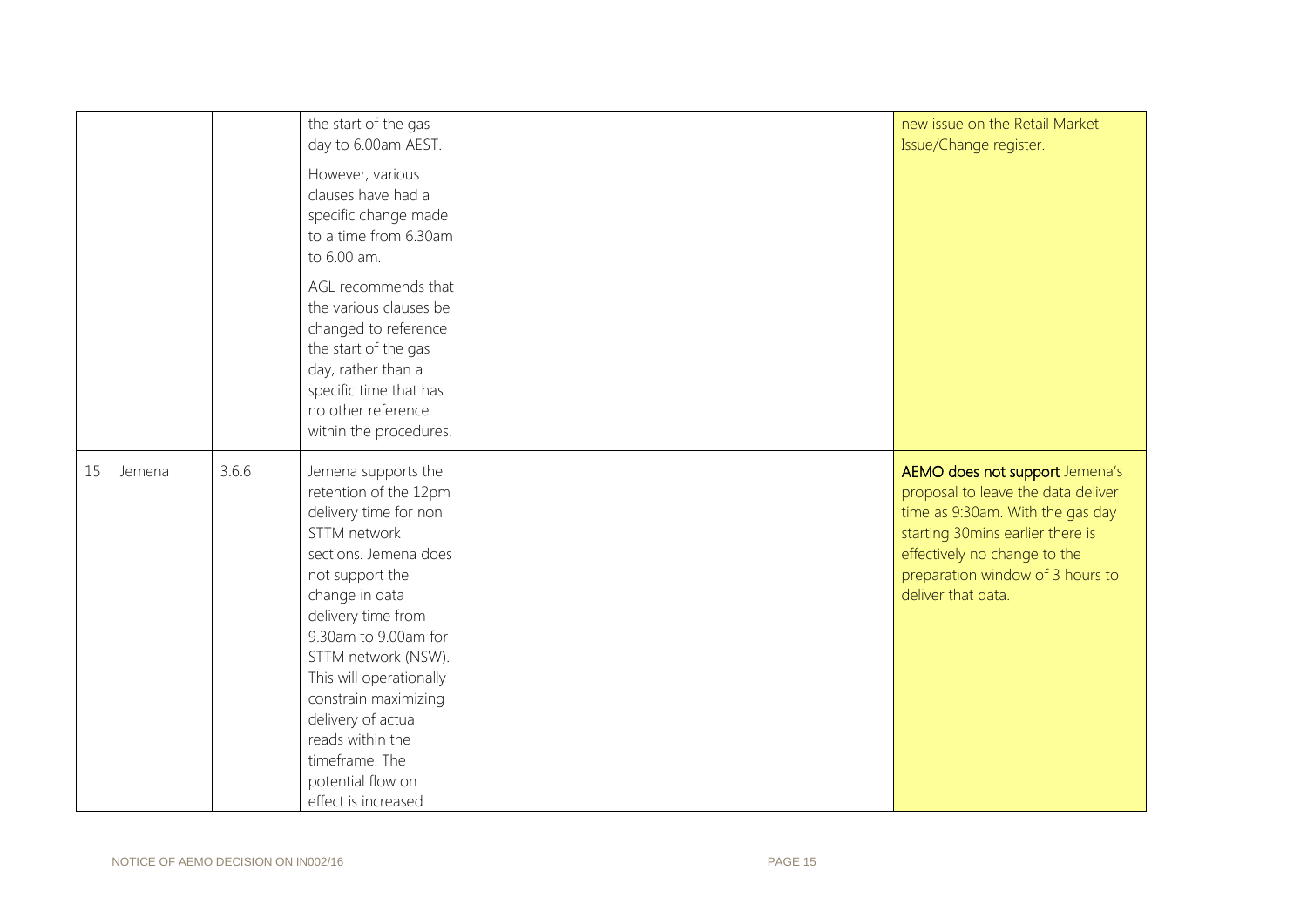|    |        |       | the start of the gas<br>day to 6.00am AEST.<br>However, various<br>clauses have had a<br>specific change made<br>to a time from 6.30am<br>to 6.00 am.<br>AGL recommends that<br>the various clauses be<br>changed to reference<br>the start of the gas<br>day, rather than a<br>specific time that has<br>no other reference<br>within the procedures.                              | new issue on the Retail Market<br>Issue/Change register.                                                                                                                                                                               |
|----|--------|-------|-------------------------------------------------------------------------------------------------------------------------------------------------------------------------------------------------------------------------------------------------------------------------------------------------------------------------------------------------------------------------------------|----------------------------------------------------------------------------------------------------------------------------------------------------------------------------------------------------------------------------------------|
| 15 | Jemena | 3.6.6 | Jemena supports the<br>retention of the 12pm<br>delivery time for non<br>STTM network<br>sections. Jemena does<br>not support the<br>change in data<br>delivery time from<br>9.30am to 9.00am for<br>STTM network (NSW).<br>This will operationally<br>constrain maximizing<br>delivery of actual<br>reads within the<br>timeframe. The<br>potential flow on<br>effect is increased | AEMO does not support Jemena's<br>proposal to leave the data deliver<br>time as 9:30am. With the gas day<br>starting 30mins earlier there is<br>effectively no change to the<br>preparation window of 3 hours to<br>deliver that data. |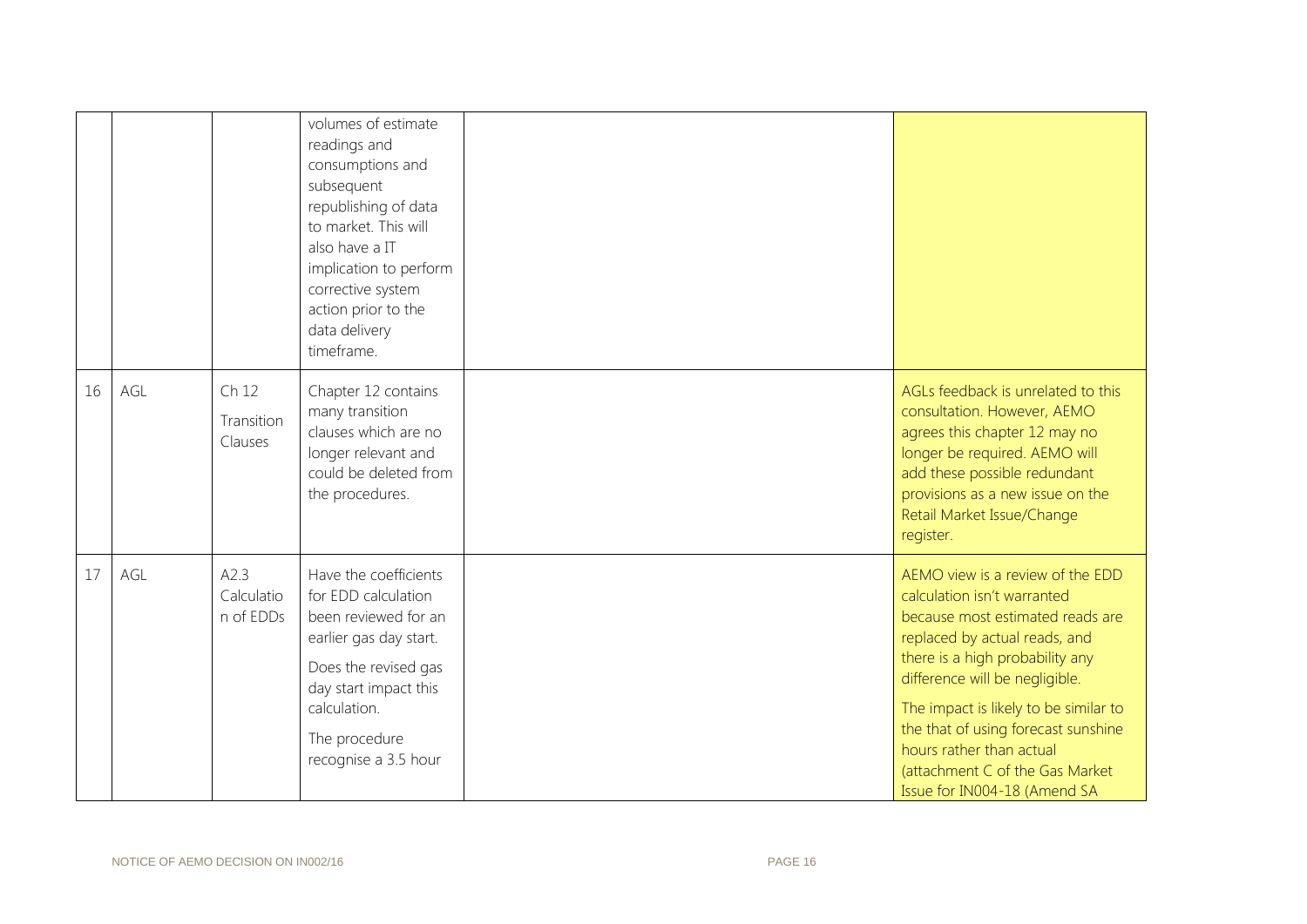|    |     |                                 | volumes of estimate<br>readings and<br>consumptions and<br>subsequent<br>republishing of data<br>to market. This will<br>also have a IT<br>implication to perform<br>corrective system<br>action prior to the<br>data delivery<br>timeframe. |                                                                                                                                                                                                                                                                                                                                                                                          |
|----|-----|---------------------------------|----------------------------------------------------------------------------------------------------------------------------------------------------------------------------------------------------------------------------------------------|------------------------------------------------------------------------------------------------------------------------------------------------------------------------------------------------------------------------------------------------------------------------------------------------------------------------------------------------------------------------------------------|
| 16 | AGL | Ch 12<br>Transition<br>Clauses  | Chapter 12 contains<br>many transition<br>clauses which are no<br>longer relevant and<br>could be deleted from<br>the procedures.                                                                                                            | AGLs feedback is unrelated to this<br>consultation. However, AEMO<br>agrees this chapter 12 may no<br>longer be required. AEMO will<br>add these possible redundant<br>provisions as a new issue on the<br>Retail Market Issue/Change<br>register.                                                                                                                                       |
| 17 | AGL | A2.3<br>Calculatio<br>n of EDDs | Have the coefficients<br>for EDD calculation<br>been reviewed for an<br>earlier gas day start.<br>Does the revised gas<br>day start impact this<br>calculation.<br>The procedure<br>recognise a 3.5 hour                                     | AEMO view is a review of the EDD<br>calculation isn't warranted<br>because most estimated reads are<br>replaced by actual reads, and<br>there is a high probability any<br>difference will be negligible.<br>The impact is likely to be similar to<br>the that of using forecast sunshine<br>hours rather than actual<br>(attachment C of the Gas Market<br>Issue for IN004-18 (Amend SA |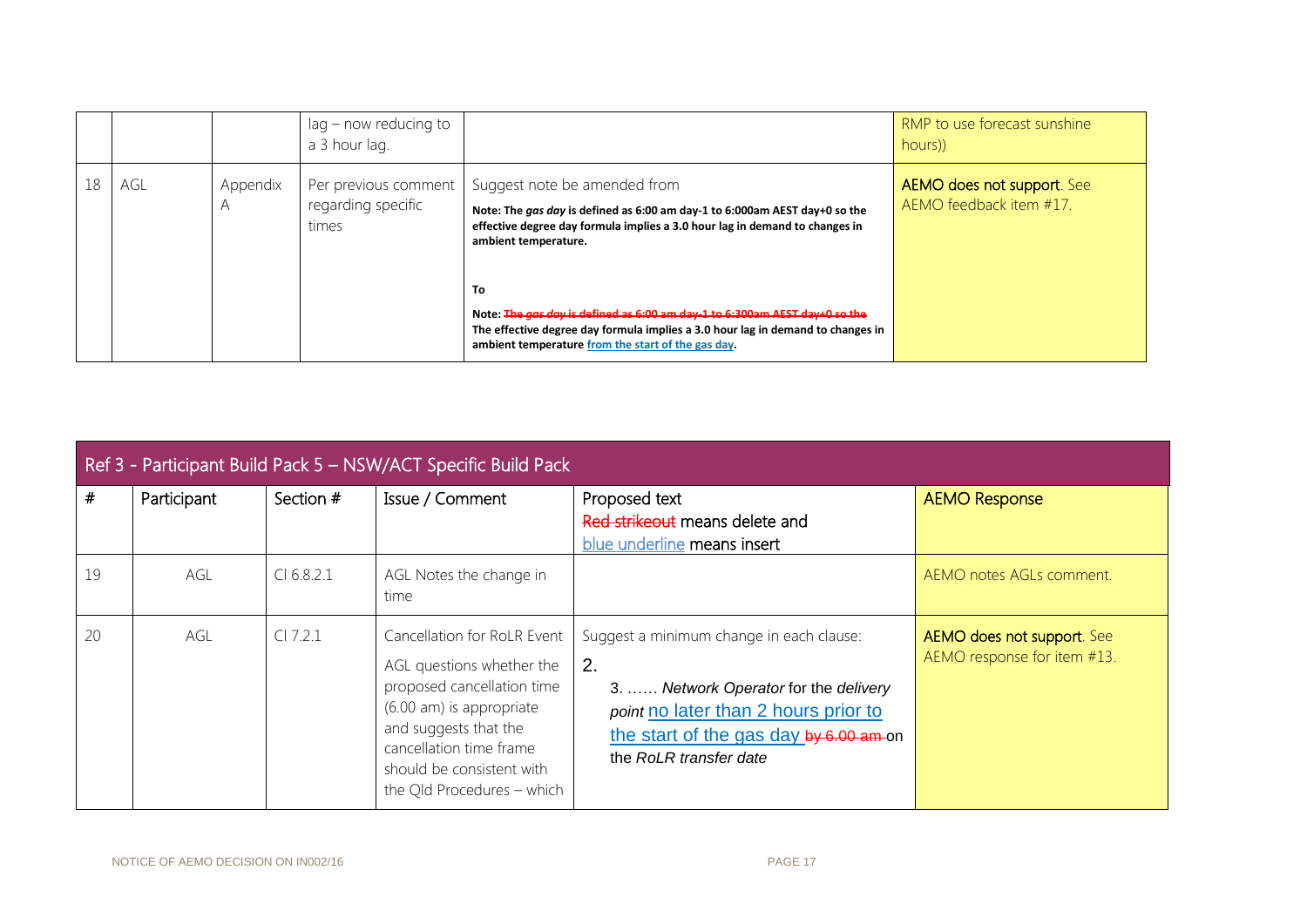|    |     |               | lag – now reducing to<br>a 3 hour lag.              |                                                                                                                                                                                                                           | RMP to use forecast sunshine<br>hours))               |
|----|-----|---------------|-----------------------------------------------------|---------------------------------------------------------------------------------------------------------------------------------------------------------------------------------------------------------------------------|-------------------------------------------------------|
| 18 | AGL | Appendix<br>A | Per previous comment<br>regarding specific<br>times | Suggest note be amended from<br>Note: The gas day is defined as 6:00 am day-1 to 6:000am AEST day+0 so the<br>effective degree day formula implies a 3.0 hour lag in demand to changes in<br>ambient temperature.         | AEMO does not support. See<br>AEMO feedback item #17. |
|    |     |               |                                                     | To<br>Note: The gas day is defined as 6:00 am day 1 to 6:300am AEST day+0 so the<br>The effective degree day formula implies a 3.0 hour lag in demand to changes in<br>ambient temperature from the start of the gas day. |                                                       |

| Ref 3 - Participant Build Pack 5 - NSW/ACT Specific Build Pack |             |            |                                                                                                                                                                                                                                   |                                                                                                                                                                                                     |                                                                  |  |  |
|----------------------------------------------------------------|-------------|------------|-----------------------------------------------------------------------------------------------------------------------------------------------------------------------------------------------------------------------------------|-----------------------------------------------------------------------------------------------------------------------------------------------------------------------------------------------------|------------------------------------------------------------------|--|--|
| #                                                              | Participant | Section #  | Issue / Comment                                                                                                                                                                                                                   | Proposed text<br>Red strikeout means delete and<br>blue underline means insert                                                                                                                      | <b>AEMO Response</b>                                             |  |  |
| 19                                                             | AGL         | Cl 6.8.2.1 | AGL Notes the change in<br>time                                                                                                                                                                                                   |                                                                                                                                                                                                     | AEMO notes AGLs comment.                                         |  |  |
| 20                                                             | AGL         | $CI$ 7.2.1 | Cancellation for RoLR Event<br>AGL questions whether the<br>proposed cancellation time<br>(6.00 am) is appropriate<br>and suggests that the<br>cancellation time frame<br>should be consistent with<br>the Qld Procedures - which | Suggest a minimum change in each clause:<br>2.<br>3.  Network Operator for the delivery<br>point no later than 2 hours prior to<br>the start of the gas day by 6.00 am on<br>the RoLR transfer date | <b>AEMO does not support.</b> See<br>AEMO response for item #13. |  |  |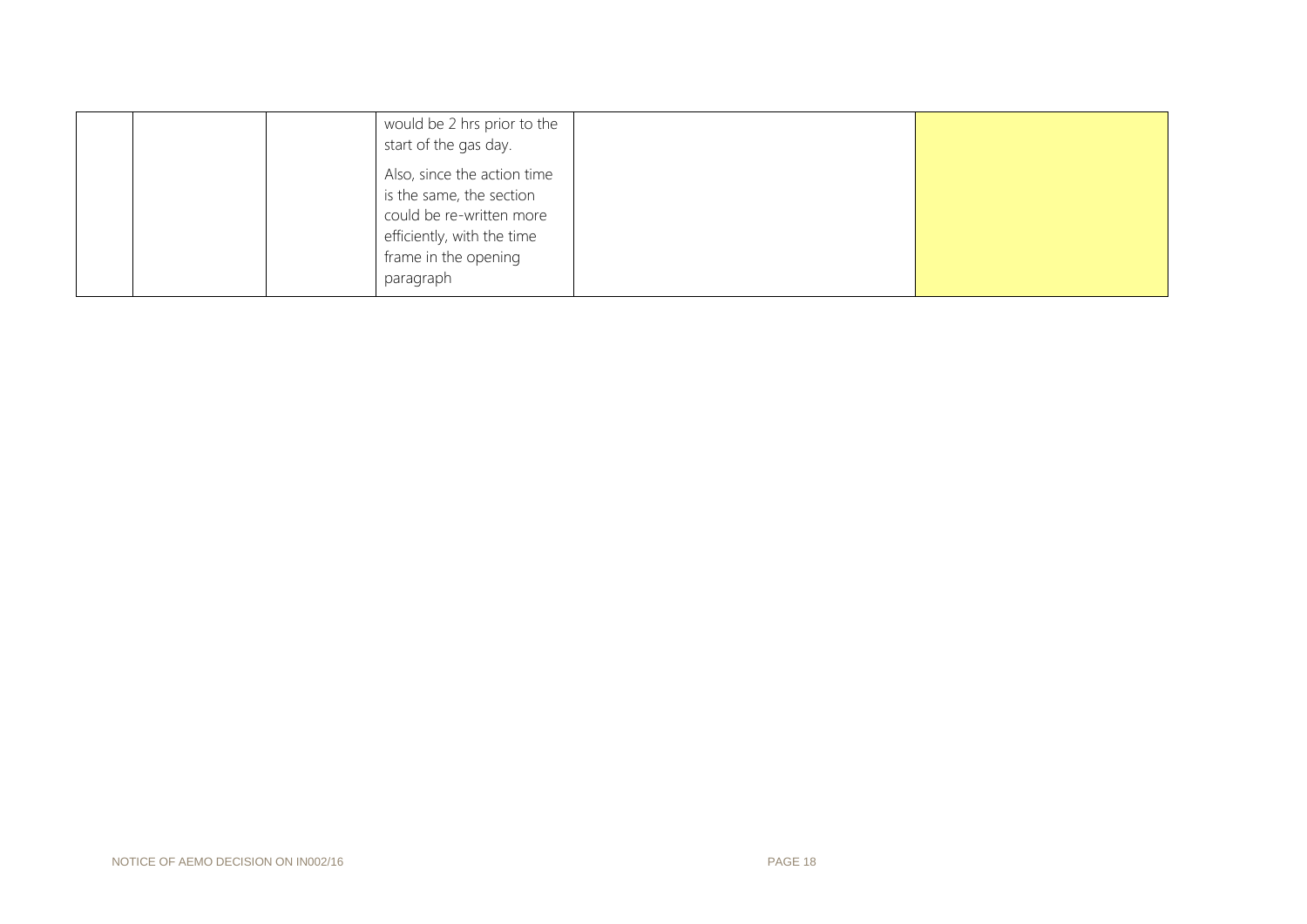| would be 2 hrs prior to the<br>start of the gas day.                                                                                                   |
|--------------------------------------------------------------------------------------------------------------------------------------------------------|
| Also, since the action time<br>is the same, the section<br>could be re-written more<br>efficiently, with the time<br>frame in the opening<br>paragraph |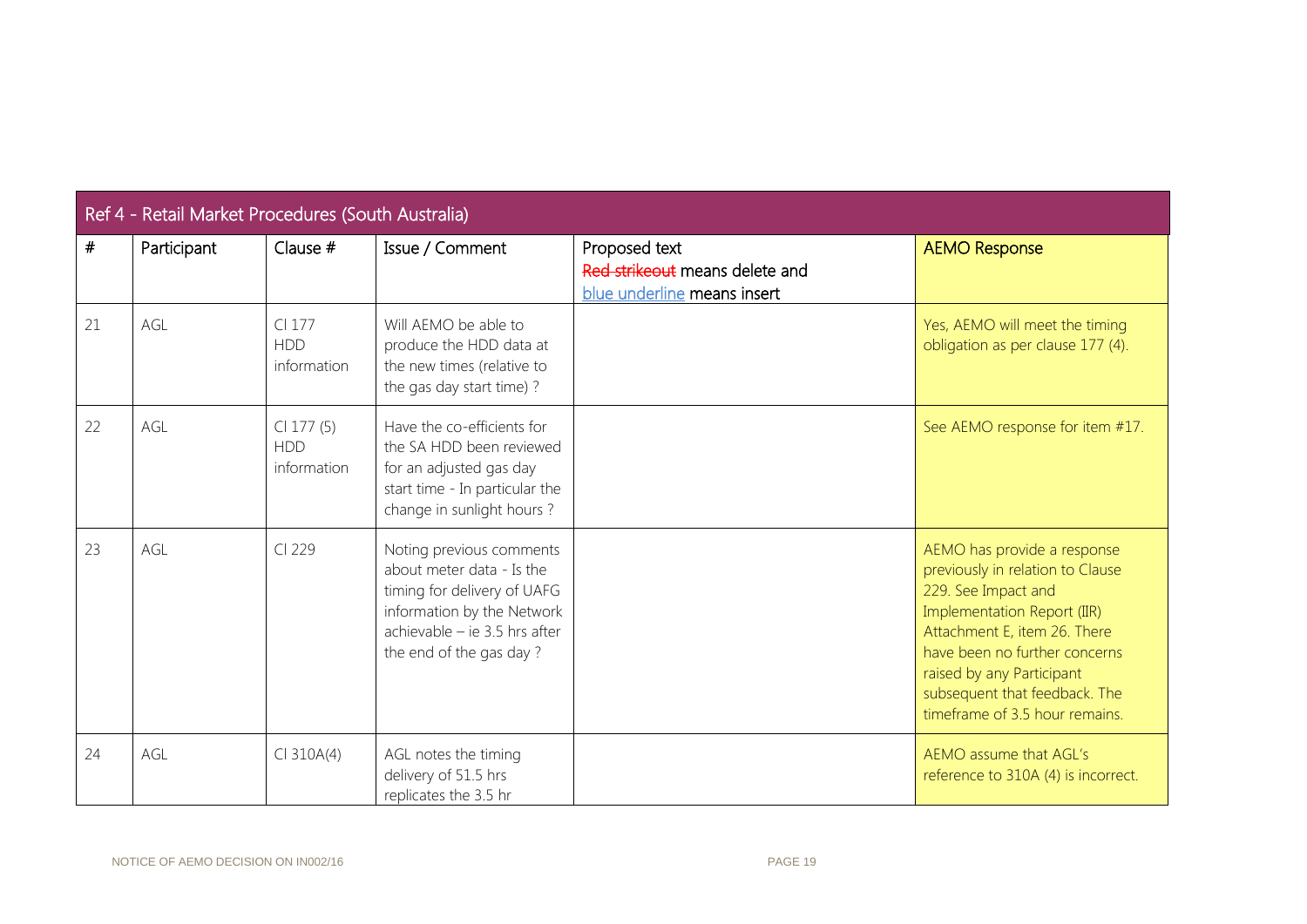| Ref 4 - Retail Market Procedures (South Australia) |             |                                             |                                                                                                                                                                                |                                                                                |                                                                                                                                                                                                                                                                                        |  |  |
|----------------------------------------------------|-------------|---------------------------------------------|--------------------------------------------------------------------------------------------------------------------------------------------------------------------------------|--------------------------------------------------------------------------------|----------------------------------------------------------------------------------------------------------------------------------------------------------------------------------------------------------------------------------------------------------------------------------------|--|--|
| $\#$                                               | Participant | Clause $#$                                  | Issue / Comment                                                                                                                                                                | Proposed text<br>Red strikeout means delete and<br>blue underline means insert | <b>AEMO Response</b>                                                                                                                                                                                                                                                                   |  |  |
| 21                                                 | AGL         | CI 177<br><b>HDD</b><br>information         | Will AEMO be able to<br>produce the HDD data at<br>the new times (relative to<br>the gas day start time)?                                                                      |                                                                                | Yes, AEMO will meet the timing<br>obligation as per clause 177 (4).                                                                                                                                                                                                                    |  |  |
| 22                                                 | AGL         | $Cl$ 177 $(5)$<br><b>HDD</b><br>information | Have the co-efficients for<br>the SA HDD been reviewed<br>for an adjusted gas day<br>start time - In particular the<br>change in sunlight hours?                               |                                                                                | See AEMO response for item #17.                                                                                                                                                                                                                                                        |  |  |
| 23                                                 | AGL         | CI 229                                      | Noting previous comments<br>about meter data - Is the<br>timing for delivery of UAFG<br>information by the Network<br>achievable - ie 3.5 hrs after<br>the end of the gas day? |                                                                                | AEMO has provide a response<br>previously in relation to Clause<br>229. See Impact and<br>Implementation Report (IIR)<br>Attachment E, item 26. There<br>have been no further concerns<br>raised by any Participant<br>subsequent that feedback. The<br>timeframe of 3.5 hour remains. |  |  |
| 24                                                 | AGL         | $CI$ 310A(4)                                | AGL notes the timing<br>delivery of 51.5 hrs<br>replicates the 3.5 hr                                                                                                          |                                                                                | AEMO assume that AGL's<br>reference to 310A (4) is incorrect.                                                                                                                                                                                                                          |  |  |